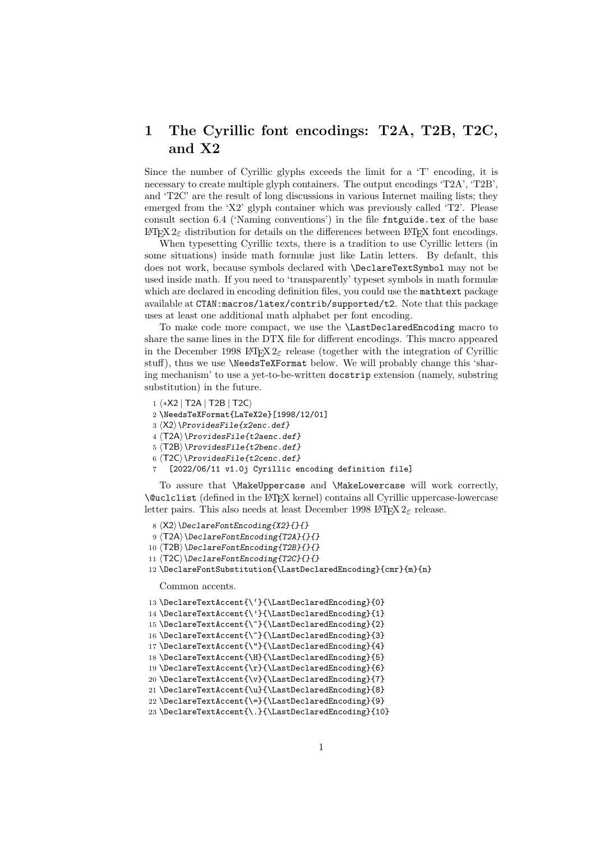## 1 The Cyrillic font encodings: T2A, T2B, T2C, and X2

Since the number of Cyrillic glyphs exceeds the limit for a 'T' encoding, it is necessary to create multiple glyph containers. The output encodings 'T2A', 'T2B', and 'T2C' are the result of long discussions in various Internet mailing lists; they emerged from the 'X2' glyph container which was previously called 'T2'. Please consult section 6.4 ('Naming conventions') in the file  $f$ ntguide.tex of the base LATEX 2<sub>ε</sub> distribution for details on the differences between LATEX font encodings.

When typesetting Cyrillic texts, there is a tradition to use Cyrillic letters (in some situations) inside math formulæ just like Latin letters. By default, this does not work, because symbols declared with \DeclareTextSymbol may not be used inside math. If you need to 'transparently' typeset symbols in math formulæ which are declared in encoding definition files, you could use the mathemat package available at CTAN:macros/latex/contrib/supported/t2. Note that this package uses at least one additional math alphabet per font encoding.

To make code more compact, we use the \LastDeclaredEncoding macro to share the same lines in the DTX file for different encodings. This macro appeared in the December 1998 LATEX  $2\varepsilon$  release (together with the integration of Cyrillic stuff), thus we use \NeedsTeXFormat below. We will probably change this 'sharing mechanism' to use a yet-to-be-written docstrip extension (namely, substring substitution) in the future.

- 1 ⟨∗X2 | T2A | T2B | T2C⟩
- 2 \NeedsTeXFormat{LaTeX2e}[1998/12/01]
- 3 ⟨X2⟩\ProvidesFile{x2enc.def}
- 4 ⟨T2A⟩\ProvidesFile{t2aenc.def}
- 5 ⟨T2B⟩\ProvidesFile{t2benc.def}
- $6 \langle T2C \rangle \$ ProvidesFile{t2cenc.def}
- [2022/06/11 v1.0j Cyrillic encoding definition file]

To assure that \MakeUppercase and \MakeLowercase will work correctly, \@uclclist (defined in the LATEX kernel) contains all Cyrillic uppercase-lowercase letter pairs. This also needs at least December 1998 LAT<sub>E</sub>X  $2_{\epsilon}$  release.

```
8 \langle X2 \rangle \DeclareFontEncoding{X2}{}{}
```

```
9 \langleT2A\rangle\DeclareFontEncoding{T2A}{}{}
```
10  $\langle$ T2B $\rangle$ \DeclareFontEncoding{T2B}{}{}

- 11  $\langle$ T2C $\rangle$  \DeclareFontEncoding{T2C}{}{}
- 12 \DeclareFontSubstitution{\LastDeclaredEncoding}{cmr}{m}{n}

Common accents.

```
13 \DeclareTextAccent{\'}{\LastDeclaredEncoding}{0}
```

```
14 \DeclareTextAccent{\'}{\LastDeclaredEncoding}{1}
```

```
15 \DeclareTextAccent{\^}{\LastDeclaredEncoding}{2}
```

```
16 \DeclareTextAccent{\~}{\LastDeclaredEncoding}{3}
```

```
17 \DeclareTextAccent{\"}{\LastDeclaredEncoding}{4}
```

```
18 \DeclareTextAccent{\H}{\LastDeclaredEncoding}{5}
```

```
19 \DeclareTextAccent{\r}{\LastDeclaredEncoding}{6}
```

```
20 \DeclareTextAccent{\v}{\LastDeclaredEncoding}{7}
```

```
21 \DeclareTextAccent{\u}{\LastDeclaredEncoding}{8}
22 \DeclareTextAccent{\=}{\LastDeclaredEncoding}{9}
```

```
23 \DeclareTextAccent{\.}{\LastDeclaredEncoding}{10}
```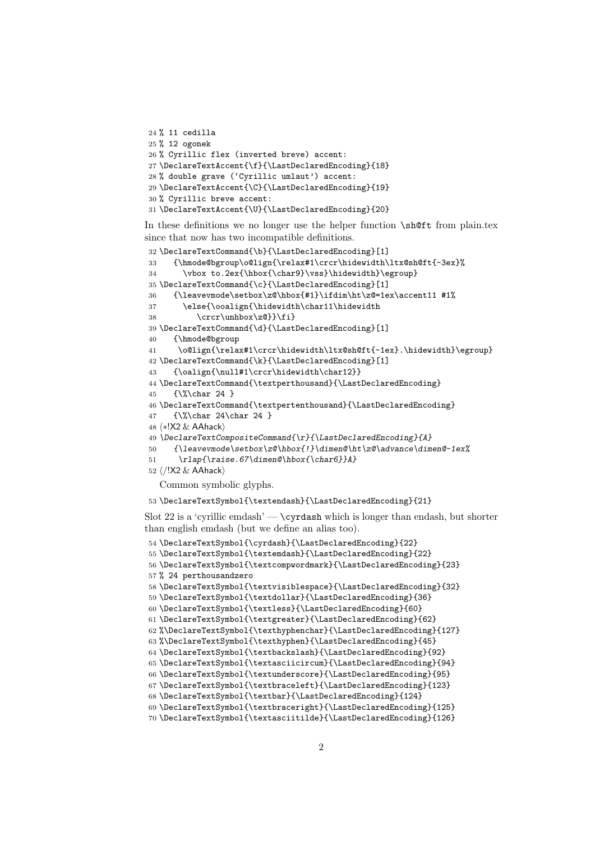```
24 % 11 cedilla
25 % 12 ogonek
26 % Cyrillic flex (inverted breve) accent:
27 \DeclareTextAccent{\f}{\LastDeclaredEncoding}{18}
28 % double grave ('Cyrillic umlaut') accent:
29 \DeclareTextAccent{\C}{\LastDeclaredEncoding}{19}
30 % Cyrillic breve accent:
31 \DeclareTextAccent{\U}{\LastDeclaredEncoding}{20}
```
In these definitions we no longer use the helper function \sh@ft from plain.tex since that now has two incompatible definitions.

```
32 \DeclareTextCommand{\b}{\LastDeclaredEncoding}[1]
33 {\hmode@bgroup\o@lign{\relax#1\crcr\hidewidth\ltx@sh@ft{-3ex}%
34 \vbox to.2ex{\hbox{\char9}\vss}\hidewidth}\egroup}
35 \DeclareTextCommand{\c}{\LastDeclaredEncoding}[1]
36 {\leavevmode\setbox\z@\hbox{#1}\ifdim\ht\z@=1ex\accent11 #1%
37 \else{\ooalign{\hidewidth\char11\hidewidth
38 \crcr\unhbox\z@}}\fi}
39 \DeclareTextCommand{\d}{\LastDeclaredEncoding}[1]
40 {\hmode@bgroup
41 \o@lign{\relax#1\crcr\hidewidth\ltx@sh@ft{-1ex}.\hidewidth}\egroup}
42 \DeclareTextCommand{\k}{\LastDeclaredEncoding}[1]
43 {\oalign{\null#1\crcr\hidewidth\char12}}
44 \DeclareTextCommand{\textperthousand}{\LastDeclaredEncoding}
45 {\%\char 24 }
46 \DeclareTextCommand{\textpertenthousand}{\LastDeclaredEncoding}
47 {\%\char 24\char 24 }
48 ⟨∗!X2 & AAhack⟩
49 \DeclareTextCompositeCommand{\r}{\LastDeclaredEncoding}{A}
50 {\leavevmode\setbox\z@\hbox{!}\dimen@\ht\z@\advance\dimen@-1ex%
51 \rlap{\raise.67\dimen@\hbox{\char6}}A}
52 ⟨/!X2 & AAhack⟩
  Common symbolic glyphs.
```
\DeclareTextSymbol{\textendash}{\LastDeclaredEncoding}{21}

Slot 22 is a 'cyrillic emdash'  $-$  \cyrdash which is longer than endash, but shorter than english emdash (but we define an alias too).

```
54 \DeclareTextSymbol{\cyrdash}{\LastDeclaredEncoding}{22}
55 \DeclareTextSymbol{\textemdash}{\LastDeclaredEncoding}{22}
56 \DeclareTextSymbol{\textcompwordmark}{\LastDeclaredEncoding}{23}
57 % 24 perthousandzero
58 \DeclareTextSymbol{\textvisiblespace}{\LastDeclaredEncoding}{32}
59 \DeclareTextSymbol{\textdollar}{\LastDeclaredEncoding}{36}
60 \DeclareTextSymbol{\textless}{\LastDeclaredEncoding}{60}
61 \DeclareTextSymbol{\textgreater}{\LastDeclaredEncoding}{62}
62 %\DeclareTextSymbol{\texthyphenchar}{\LastDeclaredEncoding}{127}
63 %\DeclareTextSymbol{\texthyphen}{\LastDeclaredEncoding}{45}
64 \DeclareTextSymbol{\textbackslash}{\LastDeclaredEncoding}{92}
65 \DeclareTextSymbol{\textasciicircum}{\LastDeclaredEncoding}{94}
66 \DeclareTextSymbol{\textunderscore}{\LastDeclaredEncoding}{95}
67 \DeclareTextSymbol{\textbraceleft}{\LastDeclaredEncoding}{123}
68 \DeclareTextSymbol{\textbar}{\LastDeclaredEncoding}{124}
69 \DeclareTextSymbol{\textbraceright}{\LastDeclaredEncoding}{125}
70 \DeclareTextSymbol{\textasciitilde}{\LastDeclaredEncoding}{126}
```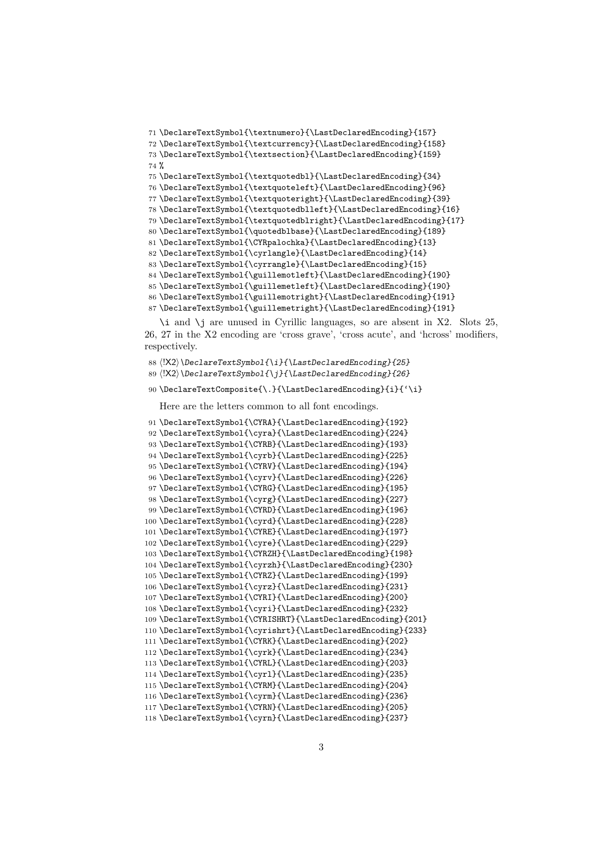```
71 \DeclareTextSymbol{\textnumero}{\LastDeclaredEncoding}{157}
72 \DeclareTextSymbol{\textcurrency}{\LastDeclaredEncoding}{158}
73 \DeclareTextSymbol{\textsection}{\LastDeclaredEncoding}{159}
74 %
75 \DeclareTextSymbol{\textquotedbl}{\LastDeclaredEncoding}{34}
76 \DeclareTextSymbol{\textquoteleft}{\LastDeclaredEncoding}{96}
77 \DeclareTextSymbol{\textquoteright}{\LastDeclaredEncoding}{39}
78 \DeclareTextSymbol{\textquotedblleft}{\LastDeclaredEncoding}{16}
79 \DeclareTextSymbol{\textquotedblright}{\LastDeclaredEncoding}{17}
80 \DeclareTextSymbol{\quotedblbase}{\LastDeclaredEncoding}{189}
81 \DeclareTextSymbol{\CYRpalochka}{\LastDeclaredEncoding}{13}
82 \DeclareTextSymbol{\cyrlangle}{\LastDeclaredEncoding}{14}
83 \DeclareTextSymbol{\cyrrangle}{\LastDeclaredEncoding}{15}
84 \DeclareTextSymbol{\guillemotleft}{\LastDeclaredEncoding}{190}
85 \DeclareTextSymbol{\guillemetleft}{\LastDeclaredEncoding}{190}
86 \DeclareTextSymbol{\guillemotright}{\LastDeclaredEncoding}{191}
87 \DeclareTextSymbol{\guillemetright}{\LastDeclaredEncoding}{191}
```
\i and \j are unused in Cyrillic languages, so are absent in X2. Slots 25, 26, 27 in the X2 encoding are 'cross grave', 'cross acute', and 'hcross' modifiers, respectively.

 ⟨!X2⟩\DeclareTextSymbol{\i}{\LastDeclaredEncoding}{25} ⟨!X2⟩\DeclareTextSymbol{\j}{\LastDeclaredEncoding}{26}

\DeclareTextComposite{\.}{\LastDeclaredEncoding}{i}{'\i}

Here are the letters common to all font encodings.

```
91 \DeclareTextSymbol{\CYRA}{\LastDeclaredEncoding}{192}
92 \DeclareTextSymbol{\cyra}{\LastDeclaredEncoding}{224}
93 \DeclareTextSymbol{\CYRB}{\LastDeclaredEncoding}{193}
94 \DeclareTextSymbol{\cyrb}{\LastDeclaredEncoding}{225}
95 \DeclareTextSymbol{\CYRV}{\LastDeclaredEncoding}{194}
96 \DeclareTextSymbol{\cyrv}{\LastDeclaredEncoding}{226}
97 \DeclareTextSymbol{\CYRG}{\LastDeclaredEncoding}{195}
98 \DeclareTextSymbol{\cyrg}{\LastDeclaredEncoding}{227}
99 \DeclareTextSymbol{\CYRD}{\LastDeclaredEncoding}{196}
100 \DeclareTextSymbol{\cyrd}{\LastDeclaredEncoding}{228}
101 \DeclareTextSymbol{\CYRE}{\LastDeclaredEncoding}{197}
102 \DeclareTextSymbol{\cyre}{\LastDeclaredEncoding}{229}
103 \DeclareTextSymbol{\CYRZH}{\LastDeclaredEncoding}{198}
104 \DeclareTextSymbol{\cyrzh}{\LastDeclaredEncoding}{230}
105 \DeclareTextSymbol{\CYRZ}{\LastDeclaredEncoding}{199}
106 \DeclareTextSymbol{\cyrz}{\LastDeclaredEncoding}{231}
107 \DeclareTextSymbol{\CYRI}{\LastDeclaredEncoding}{200}
108 \DeclareTextSymbol{\cyri}{\LastDeclaredEncoding}{232}
109 \DeclareTextSymbol{\CYRISHRT}{\LastDeclaredEncoding}{201}
110 \DeclareTextSymbol{\cyrishrt}{\LastDeclaredEncoding}{233}
111 \DeclareTextSymbol{\CYRK}{\LastDeclaredEncoding}{202}
112 \DeclareTextSymbol{\cyrk}{\LastDeclaredEncoding}{234}
113 \DeclareTextSymbol{\CYRL}{\LastDeclaredEncoding}{203}
114 \DeclareTextSymbol{\cyrl}{\LastDeclaredEncoding}{235}
115 \DeclareTextSymbol{\CYRM}{\LastDeclaredEncoding}{204}
116 \DeclareTextSymbol{\cyrm}{\LastDeclaredEncoding}{236}
117 \DeclareTextSymbol{\CYRN}{\LastDeclaredEncoding}{205}
118 \DeclareTextSymbol{\cyrn}{\LastDeclaredEncoding}{237}
```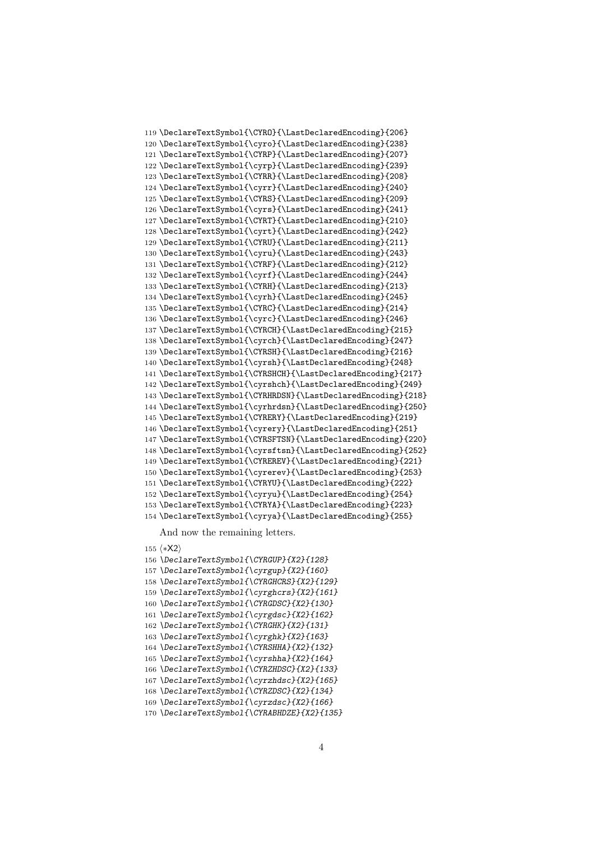```
119 \DeclareTextSymbol{\CYRO}{\LastDeclaredEncoding}{206}
120 \DeclareTextSymbol{\cyro}{\LastDeclaredEncoding}{238}
121 \DeclareTextSymbol{\CYRP}{\LastDeclaredEncoding}{207}
122 \DeclareTextSymbol{\cyrp}{\LastDeclaredEncoding}{239}
123 \DeclareTextSymbol{\CYRR}{\LastDeclaredEncoding}{208}
124 \DeclareTextSymbol{\cyrr}{\LastDeclaredEncoding}{240}
125 \DeclareTextSymbol{\CYRS}{\LastDeclaredEncoding}{209}
126 \DeclareTextSymbol{\cyrs}{\LastDeclaredEncoding}{241}
127 \DeclareTextSymbol{\CYRT}{\LastDeclaredEncoding}{210}
128 \DeclareTextSymbol{\cyrt}{\LastDeclaredEncoding}{242}
129 \DeclareTextSymbol{\CYRU}{\LastDeclaredEncoding}{211}
130 \DeclareTextSymbol{\cyru}{\LastDeclaredEncoding}{243}
131 \DeclareTextSymbol{\CYRF}{\LastDeclaredEncoding}{212}
132 \DeclareTextSymbol{\cyrf}{\LastDeclaredEncoding}{244}
133 \DeclareTextSymbol{\CYRH}{\LastDeclaredEncoding}{213}
134 \DeclareTextSymbol{\cyrh}{\LastDeclaredEncoding}{245}
135 \DeclareTextSymbol{\CYRC}{\LastDeclaredEncoding}{214}
136 \DeclareTextSymbol{\cyrc}{\LastDeclaredEncoding}{246}
137 \DeclareTextSymbol{\CYRCH}{\LastDeclaredEncoding}{215}
138 \DeclareTextSymbol{\cyrch}{\LastDeclaredEncoding}{247}
139 \DeclareTextSymbol{\CYRSH}{\LastDeclaredEncoding}{216}
140 \DeclareTextSymbol{\cyrsh}{\LastDeclaredEncoding}{248}
141 \DeclareTextSymbol{\CYRSHCH}{\LastDeclaredEncoding}{217}
142 \DeclareTextSymbol{\cyrshch}{\LastDeclaredEncoding}{249}
143 \DeclareTextSymbol{\CYRHRDSN}{\LastDeclaredEncoding}{218}
144 \DeclareTextSymbol{\cyrhrdsn}{\LastDeclaredEncoding}{250}
145 \DeclareTextSymbol{\CYRERY}{\LastDeclaredEncoding}{219}
146 \DeclareTextSymbol{\cyrery}{\LastDeclaredEncoding}{251}
147 \DeclareTextSymbol{\CYRSFTSN}{\LastDeclaredEncoding}{220}
148 \DeclareTextSymbol{\cyrsftsn}{\LastDeclaredEncoding}{252}
149 \DeclareTextSymbol{\CYREREV}{\LastDeclaredEncoding}{221}
150 \DeclareTextSymbol{\cyrerev}{\LastDeclaredEncoding}{253}
151 \DeclareTextSymbol{\CYRYU}{\LastDeclaredEncoding}{222}
152 \DeclareTextSymbol{\cyryu}{\LastDeclaredEncoding}{254}
153 \DeclareTextSymbol{\CYRYA}{\LastDeclaredEncoding}{223}
154 \DeclareTextSymbol{\cyrya}{\LastDeclaredEncoding}{255}
```
And now the remaining letters.

```
155 ⟨∗X2⟩
156 \DeclareTextSymbol{\CYRGUP}{X2}{128}
157 \DeclareTextSymbol{\cyrgup}{X2}{160}
158 \DeclareTextSymbol{\CYRGHCRS}{X2}{129}
159 \DeclareTextSymbol{\cyrghcrs}{X2}{161}
160 \DeclareTextSymbol{\CYRGDSC}{X2}{130}
161 \DeclareTextSymbol{\cyrgdsc}{X2}{162}
162 \DeclareTextSymbol{\CYRGHK}{X2}{131}
163 \DeclareTextSymbol{\cyrghk}{X2}{163}
164 \DeclareTextSymbol{\CYRSHHA}{X2}{132}
165 \DeclareTextSymbol{\cyrshha}{X2}{164}
166 \DeclareTextSymbol{\CYRZHDSC}{X2}{133}
167 \DeclareTextSymbol{\cyrzhdsc}{X2}{165}
168 \DeclareTextSymbol{\CYRZDSC}{X2}{134}
169 \DeclareTextSymbol{\cyrzdsc}{X2}{166}
170 \DeclareTextSymbol{\CYRABHDZE}{X2}{135}
```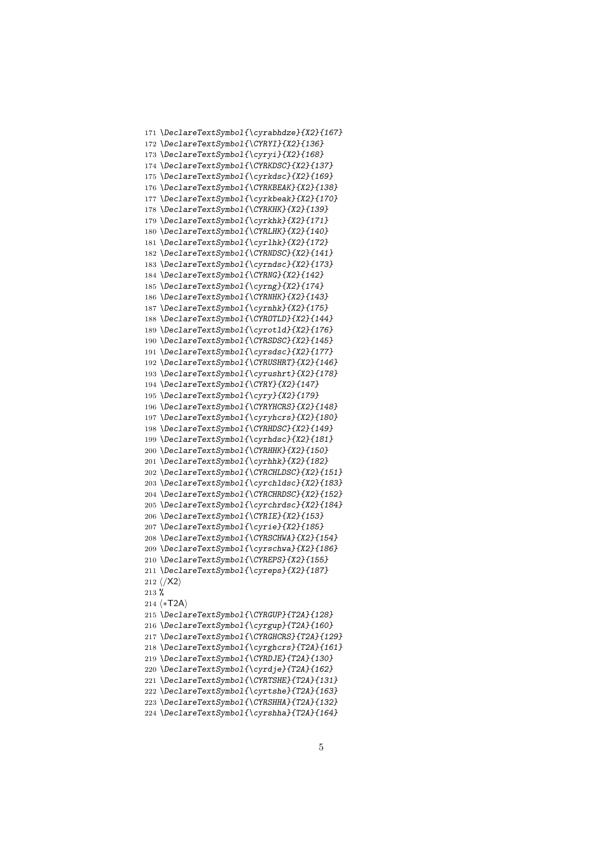```
171 \DeclareTextSymbol{\cyrabhdze}{X2}{167}
172 \DeclareTextSymbol{\CYRYI}{X2}{136}
173 \DeclareTextSymbol{\cyryi}{X2}{168}
174 \DeclareTextSymbol{\CYRKDSC}{X2}{137}
175 \DeclareTextSymbol{\cyrkdsc}{X2}{169}
176 \DeclareTextSymbol{\CYRKBEAK}{X2}{138}
177 \DeclareTextSymbol{\cyrkbeak}{X2}{170}
178 \DeclareTextSymbol{\CYRKHK}{X2}{139}
179 \DeclareTextSymbol{\cyrkhk}{X2}{171}
180 \DeclareTextSymbol{\CYRLHK}{X2}{140}
181 \DeclareTextSymbol{\cyrlhk}{X2}{172}
182 \DeclareTextSymbol{\CYRNDSC}{X2}{141}
183 \DeclareTextSymbol{\cyrndsc}{X2}{173}
184 \DeclareTextSymbol{\CYRNG}{X2}{142}
185 \DeclareTextSymbol{\cyrng}{X2}{174}
186 \DeclareTextSymbol{\CYRNHK}{X2}{143}
187 \DeclareTextSymbol{\cyrnhk}{X2}{175}
188 \DeclareTextSymbol{\CYROTLD}{X2}{144}
189 \DeclareTextSymbol{\cyrotld}{X2}{176}
190 \DeclareTextSymbol{\CYRSDSC}{X2}{145}
191 \DeclareTextSymbol{\cyrsdsc}{X2}{177}
192 \DeclareTextSymbol{\CYRUSHRT}{X2}{146}
193 \DeclareTextSymbol{\cyrushrt}{X2}{178}
194 \DeclareTextSymbol{\CYRY}{X2}{147}
195 \DeclareTextSymbol{\cyry}{X2}{179}
196 \DeclareTextSymbol{\CYRYHCRS}{X2}{148}
197 \DeclareTextSymbol{\cyryhcrs}{X2}{180}
198 \DeclareTextSymbol{\CYRHDSC}{X2}{149}
199 \DeclareTextSymbol{\cyrhdsc}{X2}{181}
200 \DeclareTextSymbol{\CYRHHK}{X2}{150}
201 \DeclareTextSymbol{\cyrhhk}{X2}{182}
202 \DeclareTextSymbol{\CYRCHLDSC}{X2}{151}
203 \DeclareTextSymbol{\cyrchldsc}{X2}{183}
204 \DeclareTextSymbol{\CYRCHRDSC}{X2}{152}
205 \DeclareTextSymbol{\cyrchrdsc}{X2}{184}
206 \DeclareTextSymbol{\CYRIE}{X2}{153}
207 \DeclareTextSymbol{\cyrie}{X2}{185}
208 \DeclareTextSymbol{\CYRSCHWA}{X2}{154}
209 \DeclareTextSymbol{\cyrschwa}{X2}{186}
210 \DeclareTextSymbol{\CYREPS}{X2}{155}
211 \DeclareTextSymbol{\cyreps}{X2}{187}
212 \; \langle \, \rangle213 %
214 ⟨∗T2A⟩
215 \DeclareTextSymbol{\CYRGUP}{T2A}{128}
216 \DeclareTextSymbol{\cyrgup}{T2A}{160}
217 \DeclareTextSymbol{\CYRGHCRS}{T2A}{129}
218 \DeclareTextSymbol{\cyrghcrs}{T2A}{161}
219 \DeclareTextSymbol{\CYRDJE}{T2A}{130}
220 \DeclareTextSymbol{\cyrdje}{T2A}{162}
221 \DeclareTextSymbol{\CYRTSHE}{T2A}{131}
222 \DeclareTextSymbol{\cyrtshe}{T2A}{163}
223 \DeclareTextSymbol{\CYRSHHA}{T2A}{132}
224 \DeclareTextSymbol{\cyrshha}{T2A}{164}
```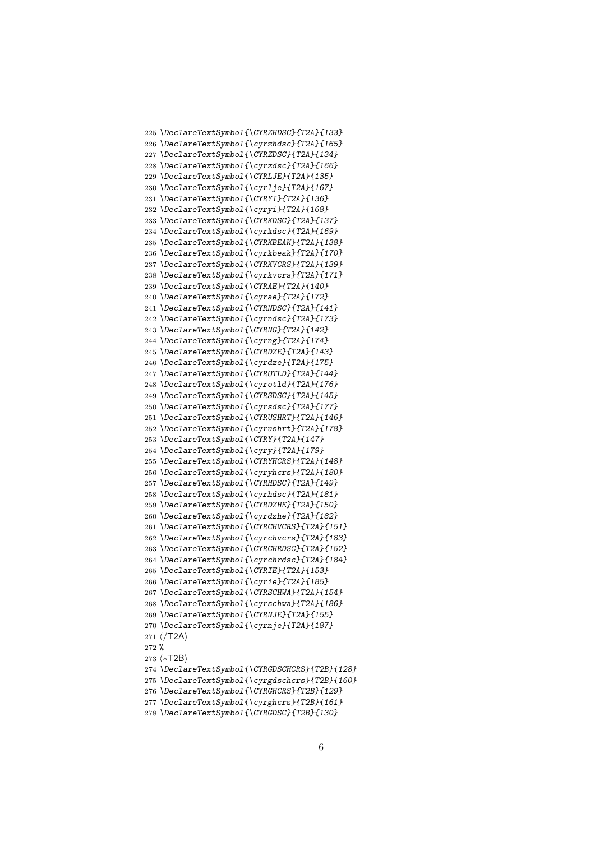```
225 \DeclareTextSymbol{\CYRZHDSC}{T2A}{133}
226 \DeclareTextSymbol{\cyrzhdsc}{T2A}{165}
227 \DeclareTextSymbol{\CYRZDSC}{T2A}{134}
228 \DeclareTextSymbol{\cyrzdsc}{T2A}{166}
229 \DeclareTextSymbol{\CYRLJE}{T2A}{135}
230 \DeclareTextSymbol{\cyrlje}{T2A}{167}
231 \DeclareTextSymbol{\CYRYI}{T2A}{136}
232 \DeclareTextSymbol{\cyryi}{T2A}{168}
233 \DeclareTextSymbol{\CYRKDSC}{T2A}{137}
234 \DeclareTextSymbol{\cyrkdsc}{T2A}{169}
235 \DeclareTextSymbol{\CYRKBEAK}{T2A}{138}
236 \DeclareTextSymbol{\cyrkbeak}{T2A}{170}
237 \DeclareTextSymbol{\CYRKVCRS}{T2A}{139}
238 \DeclareTextSymbol{\cyrkvcrs}{T2A}{171}
239 \DeclareTextSymbol{\CYRAE}{T2A}{140}
240 \DeclareTextSymbol{\cyrae}{T2A}{172}
241 \DeclareTextSymbol{\CYRNDSC}{T2A}{141}
242 \DeclareTextSymbol{\cyrndsc}{T2A}{173}
243 \DeclareTextSymbol{\CYRNG}{T2A}{142}
244 \DeclareTextSymbol{\cyrng}{T2A}{174}
245 \DeclareTextSymbol{\CYRDZE}{T2A}{143}
246 \DeclareTextSymbol{\cyrdze}{T2A}{175}
247 \DeclareTextSymbol{\CYROTLD}{T2A}{144}
248 \DeclareTextSymbol{\cyrotld}{T2A}{176}
249 \DeclareTextSymbol{\CYRSDSC}{T2A}{145}
250 \DeclareTextSymbol{\cyrsdsc}{T2A}{177}
251 \DeclareTextSymbol{\CYRUSHRT}{T2A}{146}
252 \DeclareTextSymbol{\cyrushrt}{T2A}{178}
253 \DeclareTextSymbol{\CYRY}{T2A}{147}
254 \DeclareTextSymbol{\cyry}{T2A}{179}
255 \DeclareTextSymbol{\CYRYHCRS}{T2A}{148}
256 \DeclareTextSymbol{\cyryhcrs}{T2A}{180}
257 \DeclareTextSymbol{\CYRHDSC}{T2A}{149}
258 \DeclareTextSymbol{\cyrhdsc}{T2A}{181}
259 \DeclareTextSymbol{\CYRDZHE}{T2A}{150}
260 \DeclareTextSymbol{\cyrdzhe}{T2A}{182}
261 \DeclareTextSymbol{\CYRCHVCRS}{T2A}{151}
262 \DeclareTextSymbol{\cyrchvcrs}{T2A}{183}
263 \DeclareTextSymbol{\CYRCHRDSC}{T2A}{152}
264 \DeclareTextSymbol{\cyrchrdsc}{T2A}{184}
265 \DeclareTextSymbol{\CYRIE}{T2A}{153}
266 \DeclareTextSymbol{\cyrie}{T2A}{185}
267 \DeclareTextSymbol{\CYRSCHWA}{T2A}{154}
268 \DeclareTextSymbol{\cyrschwa}{T2A}{186}
269 \DeclareTextSymbol{\CYRNJE}{T2A}{155}
270 \DeclareTextSymbol{\cyrnje}{T2A}{187}
271 \langle/T2A\rangle272 %
273 ⟨∗T2B⟩
274 \DeclareTextSymbol{\CYRGDSCHCRS}{T2B}{128}
275 \DeclareTextSymbol{\cyrgdschcrs}{T2B}{160}
276 \DeclareTextSymbol{\CYRGHCRS}{T2B}{129}
277 \DeclareTextSymbol{\cyrghcrs}{T2B}{161}
278 \DeclareTextSymbol{\CYRGDSC}{T2B}{130}
```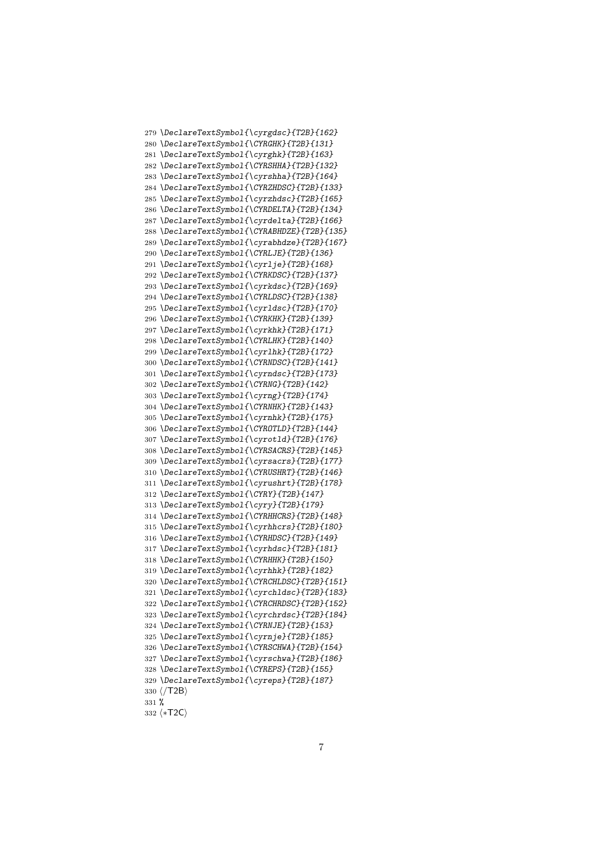```
279 \DeclareTextSymbol{\cyrgdsc}{T2B}{162}
280 \DeclareTextSymbol{\CYRGHK}{T2B}{131}
281 \DeclareTextSymbol{\cyrghk}{T2B}{163}
282 \DeclareTextSymbol{\CYRSHHA}{T2B}{132}
283 \DeclareTextSymbol{\cyrshha}{T2B}{164}
284 \DeclareTextSymbol{\CYRZHDSC}{T2B}{133}
285 \DeclareTextSymbol{\cyrzhdsc}{T2B}{165}
286 \DeclareTextSymbol{\CYRDELTA}{T2B}{134}
287 \DeclareTextSymbol{\cyrdelta}{T2B}{166}
288 \DeclareTextSymbol{\CYRABHDZE}{T2B}{135}
289 \DeclareTextSymbol{\cyrabhdze}{T2B}{167}
290 \DeclareTextSymbol{\CYRLJE}{T2B}{136}
291 \DeclareTextSymbol{\cyrlje}{T2B}{168}
292 \DeclareTextSymbol{\CYRKDSC}{T2B}{137}
293 \DeclareTextSymbol{\cyrkdsc}{T2B}{169}
294 \DeclareTextSymbol{\CYRLDSC}{T2B}{138}
295 \DeclareTextSymbol{\cyrldsc}{T2B}{170}
296 \DeclareTextSymbol{\CYRKHK}{T2B}{139}
297 \DeclareTextSymbol{\cyrkhk}{T2B}{171}
298 \DeclareTextSymbol{\CYRLHK}{T2B}{140}
299 \DeclareTextSymbol{\cyrlhk}{T2B}{172}
300 \DeclareTextSymbol{\CYRNDSC}{T2B}{141}
301 \DeclareTextSymbol{\cyrndsc}{T2B}{173}
302 \DeclareTextSymbol{\CYRNG}{T2B}{142}
303 \DeclareTextSymbol{\cyrng}{T2B}{174}
304 \DeclareTextSymbol{\CYRNHK}{T2B}{143}
305 \DeclareTextSymbol{\cyrnhk}{T2B}{175}
306 \DeclareTextSymbol{\CYROTLD}{T2B}{144}
307 \DeclareTextSymbol{\cyrotld}{T2B}{176}
308 \DeclareTextSymbol{\CYRSACRS}{T2B}{145}
309 \DeclareTextSymbol{\cyrsacrs}{T2B}{177}
310 \DeclareTextSymbol{\CYRUSHRT}{T2B}{146}
311 \DeclareTextSymbol{\cyrushrt}{T2B}{178}
312 \DeclareTextSymbol{\CYRY}{T2B}{147}
313 \DeclareTextSymbol{\cyry}{T2B}{179}
314 \DeclareTextSymbol{\CYRHHCRS}{T2B}{148}
315 \DeclareTextSymbol{\cyrhhcrs}{T2B}{180}
316 \DeclareTextSymbol{\CYRHDSC}{T2B}{149}
317 \DeclareTextSymbol{\cyrhdsc}{T2B}{181}
318 \DeclareTextSymbol{\CYRHHK}{T2B}{150}
319 \DeclareTextSymbol{\cyrhhk}{T2B}{182}
320 \DeclareTextSymbol{\CYRCHLDSC}{T2B}{151}
321 \DeclareTextSymbol{\cyrchldsc}{T2B}{183}
322 \DeclareTextSymbol{\CYRCHRDSC}{T2B}{152}
323 \DeclareTextSymbol{\cyrchrdsc}{T2B}{184}
324 \DeclareTextSymbol{\CYRNJE}{T2B}{153}
325 \DeclareTextSymbol{\cyrnje}{T2B}{185}
326 \DeclareTextSymbol{\CYRSCHWA}{T2B}{154}
327 \DeclareTextSymbol{\cyrschwa}{T2B}{186}
328 \DeclareTextSymbol{\CYREPS}{T2B}{155}
329 \DeclareTextSymbol{\cyreps}{T2B}{187}
330 ⟨/T2B⟩
331 %
332 ⟨∗T2C⟩
```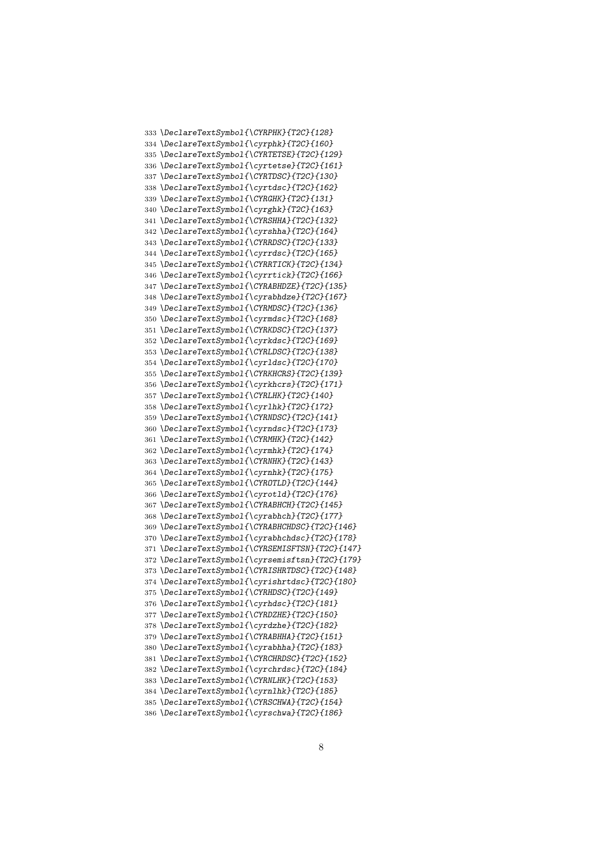\DeclareTextSymbol{\CYRPHK}{T2C}{128} \DeclareTextSymbol{\cyrphk}{T2C}{160} \DeclareTextSymbol{\CYRTETSE}{T2C}{129} \DeclareTextSymbol{\cyrtetse}{T2C}{161} \DeclareTextSymbol{\CYRTDSC}{T2C}{130} \DeclareTextSymbol{\cyrtdsc}{T2C}{162} \DeclareTextSymbol{\CYRGHK}{T2C}{131} \DeclareTextSymbol{\cyrghk}{T2C}{163} \DeclareTextSymbol{\CYRSHHA}{T2C}{132} \DeclareTextSymbol{\cyrshha}{T2C}{164} \DeclareTextSymbol{\CYRRDSC}{T2C}{133} \DeclareTextSymbol{\cyrrdsc}{T2C}{165} \DeclareTextSymbol{\CYRRTICK}{T2C}{134} \DeclareTextSymbol{\cyrrtick}{T2C}{166} \DeclareTextSymbol{\CYRABHDZE}{T2C}{135} \DeclareTextSymbol{\cyrabhdze}{T2C}{167} \DeclareTextSymbol{\CYRMDSC}{T2C}{136} \DeclareTextSymbol{\cyrmdsc}{T2C}{168} \DeclareTextSymbol{\CYRKDSC}{T2C}{137} \DeclareTextSymbol{\cyrkdsc}{T2C}{169} \DeclareTextSymbol{\CYRLDSC}{T2C}{138} \DeclareTextSymbol{\cyrldsc}{T2C}{170} \DeclareTextSymbol{\CYRKHCRS}{T2C}{139} \DeclareTextSymbol{\cyrkhcrs}{T2C}{171} \DeclareTextSymbol{\CYRLHK}{T2C}{140} \DeclareTextSymbol{\cyrlhk}{T2C}{172} \DeclareTextSymbol{\CYRNDSC}{T2C}{141} \DeclareTextSymbol{\cyrndsc}{T2C}{173} \DeclareTextSymbol{\CYRMHK}{T2C}{142} \DeclareTextSymbol{\cyrmhk}{T2C}{174} \DeclareTextSymbol{\CYRNHK}{T2C}{143} \DeclareTextSymbol{\cyrnhk}{T2C}{175} \DeclareTextSymbol{\CYROTLD}{T2C}{144} \DeclareTextSymbol{\cyrotld}{T2C}{176} \DeclareTextSymbol{\CYRABHCH}{T2C}{145} \DeclareTextSymbol{\cyrabhch}{T2C}{177} \DeclareTextSymbol{\CYRABHCHDSC}{T2C}{146} \DeclareTextSymbol{\cyrabhchdsc}{T2C}{178} \DeclareTextSymbol{\CYRSEMISFTSN}{T2C}{147} \DeclareTextSymbol{\cyrsemisftsn}{T2C}{179} \DeclareTextSymbol{\CYRISHRTDSC}{T2C}{148} \DeclareTextSymbol{\cyrishrtdsc}{T2C}{180} \DeclareTextSymbol{\CYRHDSC}{T2C}{149} \DeclareTextSymbol{\cyrhdsc}{T2C}{181} \DeclareTextSymbol{\CYRDZHE}{T2C}{150} \DeclareTextSymbol{\cyrdzhe}{T2C}{182} \DeclareTextSymbol{\CYRABHHA}{T2C}{151} \DeclareTextSymbol{\cyrabhha}{T2C}{183} \DeclareTextSymbol{\CYRCHRDSC}{T2C}{152} \DeclareTextSymbol{\cyrchrdsc}{T2C}{184} \DeclareTextSymbol{\CYRNLHK}{T2C}{153} \DeclareTextSymbol{\cyrnlhk}{T2C}{185} \DeclareTextSymbol{\CYRSCHWA}{T2C}{154} \DeclareTextSymbol{\cyrschwa}{T2C}{186}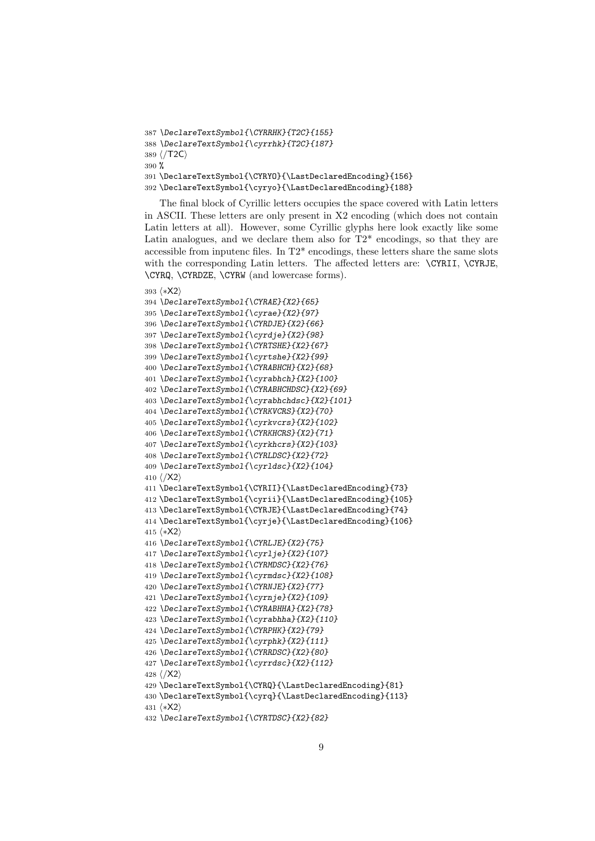```
387 \DeclareTextSymbol{\CYRRHK}{T2C}{155}
388 \DeclareTextSymbol{\cyrrhk}{T2C}{187}
389 ⟨/T2C⟩
390 %
391 \DeclareTextSymbol{\CYRYO}{\LastDeclaredEncoding}{156}
392 \DeclareTextSymbol{\cyryo}{\LastDeclaredEncoding}{188}
```
The final block of Cyrillic letters occupies the space covered with Latin letters in ASCII. These letters are only present in X2 encoding (which does not contain Latin letters at all). However, some Cyrillic glyphs here look exactly like some Latin analogues, and we declare them also for  $T2^*$  encodings, so that they are accessible from inputenc files. In T2\* encodings, these letters share the same slots with the corresponding Latin letters. The affected letters are: \CYRII, \CYRJE, \CYRQ, \CYRDZE, \CYRW (and lowercase forms).

```
393 ⟨∗X2⟩
394 \DeclareTextSymbol{\CYRAE}{X2}{65}
395 \DeclareTextSymbol{\cyrae}{X2}{97}
396 \DeclareTextSymbol{\CYRDJE}{X2}{66}
397 \DeclareTextSymbol{\cyrdje}{X2}{98}
398 \DeclareTextSymbol{\CYRTSHE}{X2}{67}
399 \DeclareTextSymbol{\cyrtshe}{X2}{99}
400 \DeclareTextSymbol{\CYRABHCH}{X2}{68}
401 \DeclareTextSymbol{\cyrabhch}{X2}{100}
402 \DeclareTextSymbol{\CYRABHCHDSC}{X2}{69}
403 \DeclareTextSymbol{\cyrabhchdsc}{X2}{101}
404 \DeclareTextSymbol{\CYRKVCRS}{X2}{70}
405 \DeclareTextSymbol{\cyrkvcrs}{X2}{102}
406 \DeclareTextSymbol{\CYRKHCRS}{X2}{71}
407 \DeclareTextSymbol{\cyrkhcrs}{X2}{103}
408 \DeclareTextSymbol{\CYRLDSC}{X2}{72}
409 \DeclareTextSymbol{\cyrldsc}{X2}{104}
410 \langle /X2\rangle411 \DeclareTextSymbol{\CYRII}{\LastDeclaredEncoding}{73}
412 \DeclareTextSymbol{\cyrii}{\LastDeclaredEncoding}{105}
413 \DeclareTextSymbol{\CYRJE}{\LastDeclaredEncoding}{74}
414 \DeclareTextSymbol{\cyrje}{\LastDeclaredEncoding}{106}
415 ⟨∗X2⟩
416 \DeclareTextSymbol{\CYRLJE}{X2}{75}
417 \DeclareTextSymbol{\cyrlje}{X2}{107}
418 \DeclareTextSymbol{\CYRMDSC}{X2}{76}
419 \DeclareTextSymbol{\cyrmdsc}{X2}{108}
420 \DeclareTextSymbol{\CYRNJE}{X2}{77}
421 \DeclareTextSymbol{\cyrnje}{X2}{109}
422 \DeclareTextSymbol{\CYRABHHA}{X2}{78}
423 \DeclareTextSymbol{\cyrabhha}{X2}{110}
424 \DeclareTextSymbol{\CYRPHK}{X2}{79}
425 \DeclareTextSymbol{\cyrphk}{X2}{111}
426 \DeclareTextSymbol{\CYRRDSC}{X2}{80}
427 \DeclareTextSymbol{\cyrrdsc}{X2}{112}
428 ⟨/X2⟩
429 \DeclareTextSymbol{\CYRQ}{\LastDeclaredEncoding}{81}
430 \DeclareTextSymbol{\cyrq}{\LastDeclaredEncoding}{113}
431 ⟨∗X2⟩
432 \DeclareTextSymbol{\CYRTDSC}{X2}{82}
```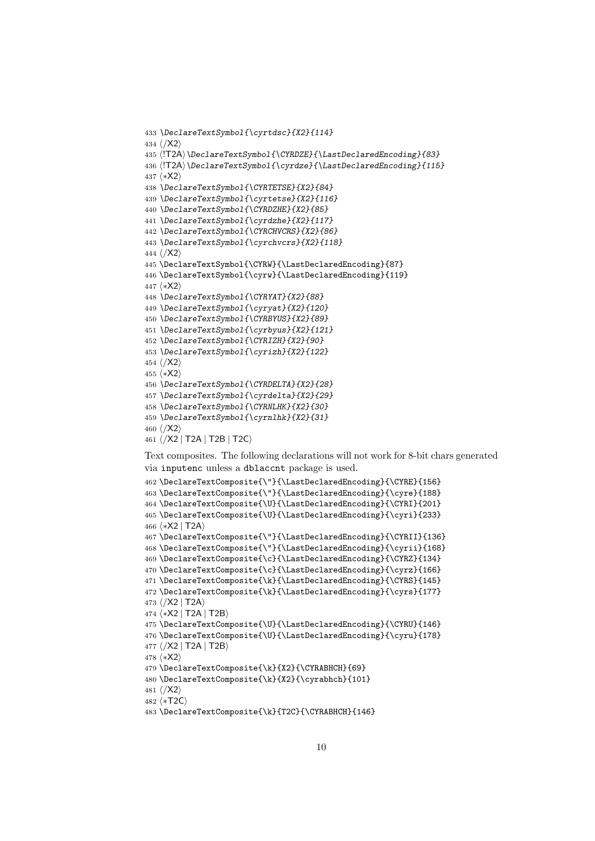```
433 \DeclareTextSymbol{\cyrtdsc}{X2}{114}
434 ⟨/X2⟩
435 ⟨!T2A⟩\DeclareTextSymbol{\CYRDZE}{\LastDeclaredEncoding}{83}
436 \langle \T2A \DeclareTextSymbol{\cyrdze}{\LastDeclaredEncoding}{115}
437 ⟨∗X2⟩
438 \DeclareTextSymbol{\CYRTETSE}{X2}{84}
439 \DeclareTextSymbol{\cyrtetse}{X2}{116}
440 \DeclareTextSymbol{\CYRDZHE}{X2}{85}
441 \DeclareTextSymbol{\cyrdzhe}{X2}{117}
442 \DeclareTextSymbol{\CYRCHVCRS}{X2}{86}
443 \DeclareTextSymbol{\cyrchvcrs}{X2}{118}
444 ⟨/X2⟩
445 \DeclareTextSymbol{\CYRW}{\LastDeclaredEncoding}{87}
446 \DeclareTextSymbol{\cyrw}{\LastDeclaredEncoding}{119}
447 ⟨∗X2⟩
448 \DeclareTextSymbol{\CYRYAT}{X2}{88}
449 \DeclareTextSymbol{\cyryat}{X2}{120}
450 \DeclareTextSymbol{\CYRBYUS}{X2}{89}
451 \DeclareTextSymbol{\cyrbyus}{X2}{121}
452 \DeclareTextSymbol{\CYRIZH}{X2}{90}
453 \DeclareTextSymbol{\cyrizh}{X2}{122}
454 ⟨/X2⟩
455 ⟨∗X2⟩
456 \DeclareTextSymbol{\CYRDELTA}{X2}{28}
457 \DeclareTextSymbol{\cyrdelta}{X2}{29}
458 \DeclareTextSymbol{\CYRNLHK}{X2}{30}
459 \DeclareTextSymbol{\cyrnlhk}{X2}{31}
460 ⟨/X2⟩
461 ⟨/X2 | T2A | T2B | T2C⟩
```
Text composites. The following declarations will not work for 8-bit chars generated via inputenc unless a dblaccnt package is used.

```
462 \DeclareTextComposite{\"}{\LastDeclaredEncoding}{\CYRE}{156}
463 \DeclareTextComposite{\"}{\LastDeclaredEncoding}{\cyre}{188}
464 \DeclareTextComposite{\U}{\LastDeclaredEncoding}{\CYRI}{201}
465 \DeclareTextComposite{\U}{\LastDeclaredEncoding}{\cyri}{233}
466 ⟨∗X2 | T2A⟩
467 \DeclareTextComposite{\"}{\LastDeclaredEncoding}{\CYRII}{136}
468 \DeclareTextComposite{\"}{\LastDeclaredEncoding}{\cyrii}{168}
469 \DeclareTextComposite{\c}{\LastDeclaredEncoding}{\CYRZ}{134}
470 \DeclareTextComposite{\c}{\LastDeclaredEncoding}{\cyrz}{166}
471 \DeclareTextComposite{\k}{\LastDeclaredEncoding}{\CYRS}{145}
472 \DeclareTextComposite{\k}{\LastDeclaredEncoding}{\cyrs}{177}
473 ⟨/X2 | T2A⟩
474 ⟨∗X2 | T2A | T2B⟩
475 \DeclareTextComposite{\U}{\LastDeclaredEncoding}{\CYRU}{146}
476 \DeclareTextComposite{\U}{\LastDeclaredEncoding}{\cyru}{178}
477 ⟨/X2 | T2A | T2B⟩
478 ⟨∗X2⟩
479 \DeclareTextComposite{\k}{X2}{\CYRABHCH}{69}
480 \DeclareTextComposite{\k}{X2}{\cyrabhch}{101}
481 ⟨/X2⟩
482 ⟨∗T2C⟩
483 \DeclareTextComposite{\k}{T2C}{\CYRABHCH}{146}
```